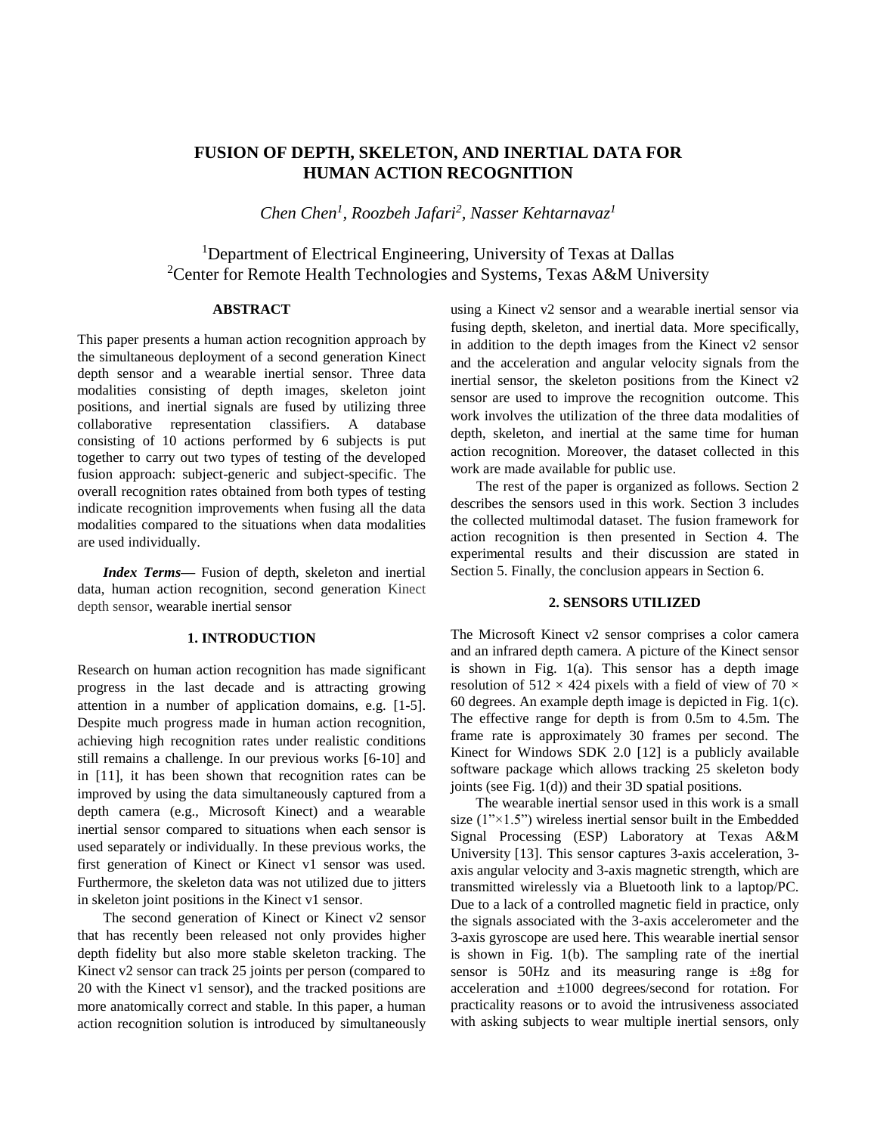# **FUSION OF DEPTH, SKELETON, AND INERTIAL DATA FOR HUMAN ACTION RECOGNITION**

*Chen Chen<sup>1</sup> , Roozbeh Jafari<sup>2</sup> , Nasser Kehtarnavaz<sup>1</sup>*

<sup>1</sup>Department of Electrical Engineering, University of Texas at Dallas <sup>2</sup>Center for Remote Health Technologies and Systems, Texas A&M University

# **ABSTRACT**

This paper presents a human action recognition approach by the simultaneous deployment of a second generation Kinect depth sensor and a wearable inertial sensor. Three data modalities consisting of depth images, skeleton joint positions, and inertial signals are fused by utilizing three collaborative representation classifiers. A database consisting of 10 actions performed by 6 subjects is put together to carry out two types of testing of the developed fusion approach: subject-generic and subject-specific. The overall recognition rates obtained from both types of testing indicate recognition improvements when fusing all the data modalities compared to the situations when data modalities are used individually.

*Index Terms—* Fusion of depth, skeleton and inertial data, human action recognition, second generation Kinect depth sensor, wearable inertial sensor

# **1. INTRODUCTION**

Research on human action recognition has made significant progress in the last decade and is attracting growing attention in a number of application domains, e.g. [1-5]. Despite much progress made in human action recognition, achieving high recognition rates under realistic conditions still remains a challenge. In our previous works [6-10] and in [11], it has been shown that recognition rates can be improved by using the data simultaneously captured from a depth camera (e.g., Microsoft Kinect) and a wearable inertial sensor compared to situations when each sensor is used separately or individually. In these previous works, the first generation of Kinect or Kinect v1 sensor was used. Furthermore, the skeleton data was not utilized due to jitters in skeleton joint positions in the Kinect v1 sensor.

The second generation of Kinect or Kinect v2 sensor that has recently been released not only provides higher depth fidelity but also more stable skeleton tracking. The Kinect v2 sensor can track 25 joints per person (compared to 20 with the Kinect v1 sensor), and the tracked positions are more anatomically correct and stable. In this paper, a human action recognition solution is introduced by simultaneously

using a Kinect v2 sensor and a wearable inertial sensor via fusing depth, skeleton, and inertial data. More specifically, in addition to the depth images from the Kinect v2 sensor and the acceleration and angular velocity signals from the inertial sensor, the skeleton positions from the Kinect v2 sensor are used to improve the recognition outcome. This work involves the utilization of the three data modalities of depth, skeleton, and inertial at the same time for human action recognition. Moreover, the dataset collected in this work are made available for public use.

The rest of the paper is organized as follows. Section 2 describes the sensors used in this work. Section 3 includes the collected multimodal dataset. The fusion framework for action recognition is then presented in Section 4. The experimental results and their discussion are stated in Section 5. Finally, the conclusion appears in Section 6.

# **2. SENSORS UTILIZED**

The Microsoft Kinect v2 sensor comprises a color camera and an infrared depth camera. A picture of the Kinect sensor is shown in Fig. 1(a). This sensor has a depth image resolution of 512  $\times$  424 pixels with a field of view of 70  $\times$ 60 degrees. An example depth image is depicted in Fig. 1(c). The effective range for depth is from 0.5m to 4.5m. The frame rate is approximately 30 frames per second. The Kinect for Windows SDK 2.0 [12] is a publicly available software package which allows tracking 25 skeleton body joints (see Fig. 1(d)) and their 3D spatial positions.

 The wearable inertial sensor used in this work is a small size  $(1" \times 1.5")$  wireless inertial sensor built in the Embedded Signal Processing (ESP) Laboratory at Texas A&M University [13]. This sensor captures 3-axis acceleration, 3 axis angular velocity and 3-axis magnetic strength, which are transmitted wirelessly via a Bluetooth link to a laptop/PC. Due to a lack of a controlled magnetic field in practice, only the signals associated with the 3-axis accelerometer and the 3-axis gyroscope are used here. This wearable inertial sensor is shown in Fig. 1(b). The sampling rate of the inertial sensor is  $50\text{Hz}$  and its measuring range is  $\pm 8g$  for acceleration and ±1000 degrees/second for rotation. For practicality reasons or to avoid the intrusiveness associated with asking subjects to wear multiple inertial sensors, only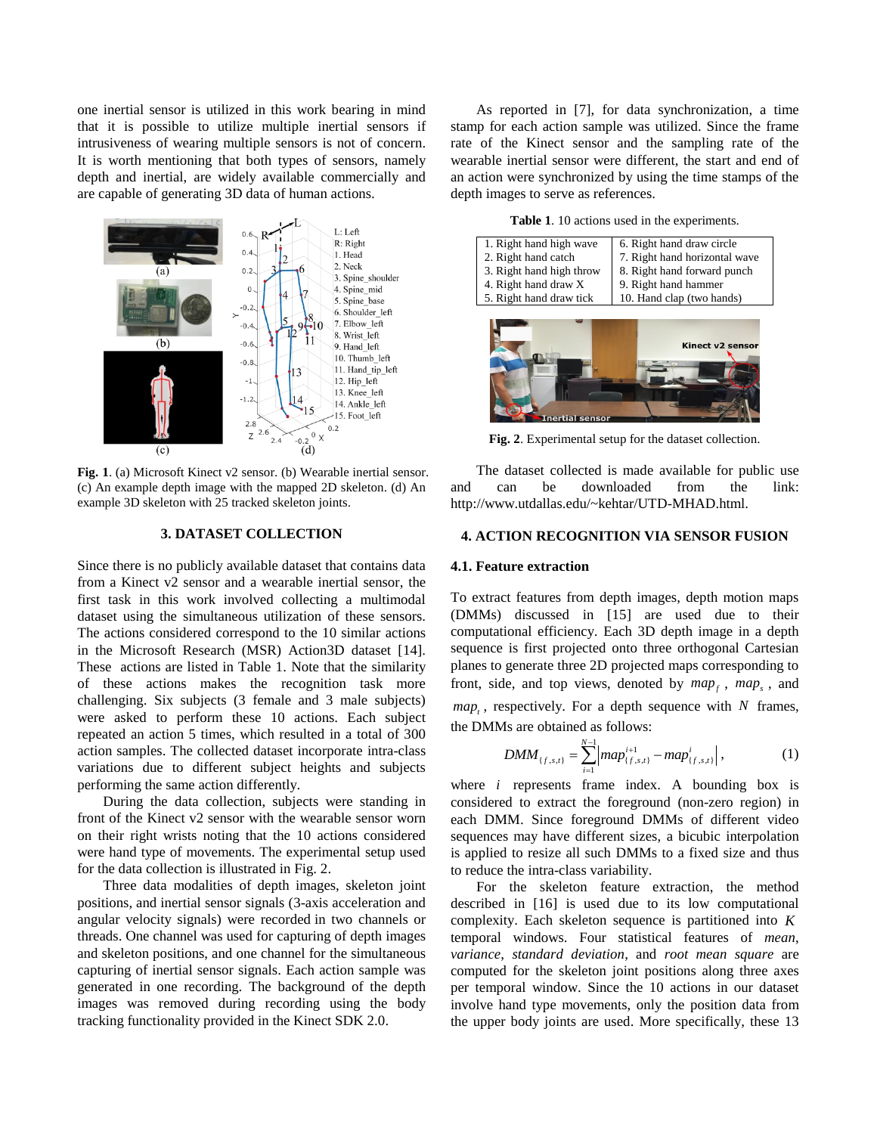one inertial sensor is utilized in this work bearing in mind that it is possible to utilize multiple inertial sensors if intrusiveness of wearing multiple sensors is not of concern. It is worth mentioning that both types of sensors, namely depth and inertial, are widely available commercially and are capable of generating 3D data of human actions.



**Fig. 1**. (a) Microsoft Kinect v2 sensor. (b) Wearable inertial sensor. (c) An example depth image with the mapped 2D skeleton. (d) An example 3D skeleton with 25 tracked skeleton joints.

# **3. DATASET COLLECTION**

Since there is no publicly available dataset that contains data from a Kinect v2 sensor and a wearable inertial sensor, the first task in this work involved collecting a multimodal dataset using the simultaneous utilization of these sensors. The actions considered correspond to the 10 similar actions in the Microsoft Research (MSR) Action3D dataset [14]. These actions are listed in Table 1. Note that the similarity of these actions makes the recognition task more challenging. Six subjects (3 female and 3 male subjects) were asked to perform these 10 actions. Each subject repeated an action 5 times, which resulted in a total of 300 action samples. The collected dataset incorporate intra-class variations due to different subject heights and subjects performing the same action differently.

During the data collection, subjects were standing in front of the Kinect v2 sensor with the wearable sensor worn on their right wrists noting that the 10 actions considered were hand type of movements. The experimental setup used for the data collection is illustrated in Fig. 2.

Three data modalities of depth images, skeleton joint positions, and inertial sensor signals (3-axis acceleration and angular velocity signals) were recorded in two channels or threads. One channel was used for capturing of depth images and skeleton positions, and one channel for the simultaneous capturing of inertial sensor signals. Each action sample was generated in one recording. The background of the depth images was removed during recording using the body tracking functionality provided in the Kinect SDK 2.0.

As reported in [7], for data synchronization, a time stamp for each action sample was utilized. Since the frame rate of the Kinect sensor and the sampling rate of the wearable inertial sensor were different, the start and end of an action were synchronized by using the time stamps of the depth images to serve as references.

**Table 1**. 10 actions used in the experiments.

| 1. Right hand high wave  | 6. Right hand draw circle     |  |  |
|--------------------------|-------------------------------|--|--|
| 2. Right hand catch      | 7. Right hand horizontal wave |  |  |
| 3. Right hand high throw | 8. Right hand forward punch   |  |  |
| 4. Right hand draw X     | 9. Right hand hammer          |  |  |
| 5. Right hand draw tick  | 10. Hand clap (two hands)     |  |  |
| senso                    | <b>Kinect v2 sensor</b>       |  |  |

**Fig. 2**. Experimental setup for the dataset collection.

The dataset collected is made available for public use and can be downloaded from the link: http://www.utdallas.edu/~kehtar/UTD-MHAD.html.

### **4. ACTION RECOGNITION VIA SENSOR FUSION**

# **4.1. Feature extraction**

To extract features from depth images, depth motion maps (DMMs) discussed in [15] are used due to their computational efficiency. Each 3D depth image in a depth sequence is first projected onto three orthogonal Cartesian planes to generate three 2D projected maps corresponding to front, side, and top views, denoted by  $map_f$ ,  $map_s$ , and  $map<sub>t</sub>$ , respectively. For a depth sequence with N frames, the DMMs are obtained as follows:

$$
DMM_{\{f,s,t\}} = \sum_{i=1}^{N-1} \left| map_{\{f,s,t\}}^{i+1} - map_{\{f,s,t\}}^{i} \right|, \qquad (1)
$$

where  $i$  represents frame index. A bounding box is considered to extract the foreground (non-zero region) in each DMM. Since foreground DMMs of different video sequences may have different sizes, a bicubic interpolation is applied to resize all such DMMs to a fixed size and thus to reduce the intra-class variability.

For the skeleton feature extraction, the method described in [16] is used due to its low computational complexity. Each skeleton sequence is partitioned into *K* temporal windows. Four statistical features of *mean*, *variance*, *standard deviation*, and *root mean square* are computed for the skeleton joint positions along three axes per temporal window. Since the 10 actions in our dataset involve hand type movements, only the position data from the upper body joints are used. More specifically, these 13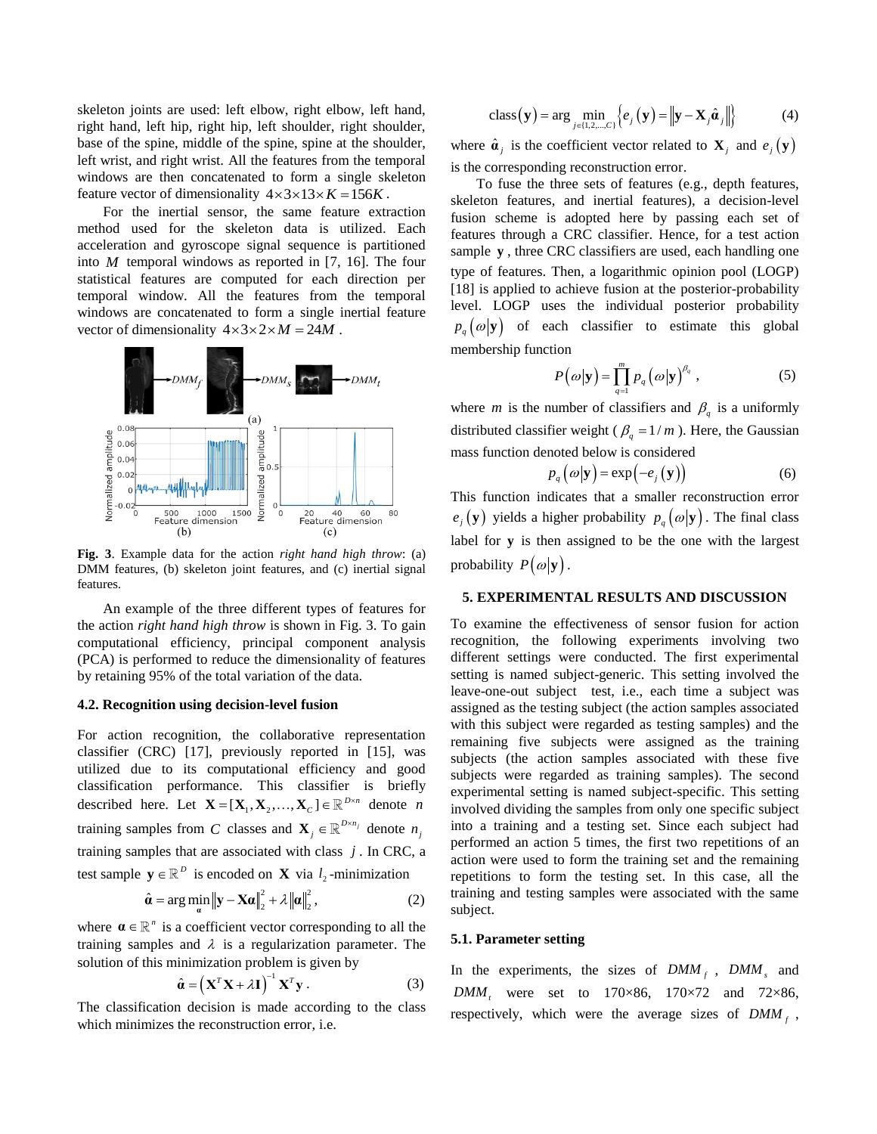skeleton joints are used: left elbow, right elbow, left hand, right hand, left hip, right hip, left shoulder, right shoulder, base of the spine, middle of the spine, spine at the shoulder, left wrist, and right wrist. All the features from the temporal windows are then concatenated to form a single skeleton feature vector of dimensionality  $4 \times 3 \times 13 \times K = 156K$ .

For the inertial sensor, the same feature extraction method used for the skeleton data is utilized. Each acceleration and gyroscope signal sequence is partitioned into *M* temporal windows as reported in [7, 16]. The four statistical features are computed for each direction per temporal window. All the features from the temporal windows are concatenated to form a single inertial feature vector of dimensionality  $4 \times 3 \times 2 \times M = 24M$ .



**Fig. 3**. Example data for the action *right hand high throw*: (a) DMM features, (b) skeleton joint features, and (c) inertial signal features.

An example of the three different types of features for the action *right hand high throw* is shown in Fig. 3. To gain computational efficiency, principal component analysis (PCA) is performed to reduce the dimensionality of features by retaining 95% of the total variation of the data.

#### **4.2. Recognition using decision-level fusion**

For action recognition, the collaborative representation classifier (CRC) [17], previously reported in [15], was utilized due to its computational efficiency and good classification performance. This classifier is briefly described here. Let  $\mathbf{X} = [\mathbf{X}_1, \mathbf{X}_2, ..., \mathbf{X}_C] \in \mathbb{R}^{D \times n}$  denote *n* training samples from C classes and  $\mathbf{X}_j \in \mathbb{R}^{D \times n_j}$  denote  $n_j$ training samples that are associated with class *j* . In CRC, a test sample  $y \in \mathbb{R}^D$  is encoded on **X** via  $l_2$ -minimization

$$
\hat{\mathbf{\alpha}} = \arg\min_{\mathbf{\alpha}} \|\mathbf{y} - \mathbf{X}\mathbf{\alpha}\|_{2}^{2} + \lambda \|\mathbf{\alpha}\|_{2}^{2},
$$
 (2)

where  $\mathbf{a} \in \mathbb{R}^n$  is a coefficient vector corresponding to all the training samples and  $\lambda$  is a regularization parameter. The solution of this minimization problem is given by

$$
\hat{\mathbf{a}} = \left(\mathbf{X}^T \mathbf{X} + \lambda \mathbf{I}\right)^{-1} \mathbf{X}^T \mathbf{y} . \tag{3}
$$

The classification decision is made according to the class which minimizes the reconstruction error, i.e.

class
$$
(\mathbf{y}) = \arg\min_{j \in \{1, 2, \dots, C\}} \left\{ e_j(\mathbf{y}) = ||\mathbf{y} - \mathbf{X}_j \hat{\boldsymbol{a}}_j|| \right\}
$$
 (4)

where  $\hat{\mathbf{a}}_j$  is the coefficient vector related to  $\mathbf{X}_j$  and  $e_j(\mathbf{y})$ is the corresponding reconstruction error.

To fuse the three sets of features (e.g., depth features, skeleton features, and inertial features), a decision-level fusion scheme is adopted here by passing each set of features through a CRC classifier. Hence, for a test action sample **y** , three CRC classifiers are used, each handling one type of features. Then, a logarithmic opinion pool (LOGP) [18] is applied to achieve fusion at the posterior-probability level. LOGP uses the individual posterior probability  $p_q(\omega|\mathbf{y})$  of each classifier to estimate this global membership function

$$
P(\omega|\mathbf{y}) = \prod_{q=1}^{m} p_q(\omega|\mathbf{y})^{\beta_q}, \qquad (5)
$$

where *m* is the number of classifiers and  $\beta_q$  is a uniformly distributed classifier weight ( $\beta_q = 1/m$ ). Here, the Gaussian mass function denoted below is considered

$$
p_q\left(\omega|\mathbf{y}\right) = \exp\left(-e_j\left(\mathbf{y}\right)\right) \tag{6}
$$

This function indicates that a smaller reconstruction error  $e_j(\mathbf{y})$  yields a higher probability  $p_q(\omega|\mathbf{y})$ . The final class label for **y** is then assigned to be the one with the largest probability  $P(\omega|\mathbf{y})$ .

## **5. EXPERIMENTAL RESULTS AND DISCUSSION**

To examine the effectiveness of sensor fusion for action recognition, the following experiments involving two different settings were conducted. The first experimental setting is named subject-generic. This setting involved the leave-one-out subject test, i.e., each time a subject was assigned as the testing subject (the action samples associated with this subject were regarded as testing samples) and the remaining five subjects were assigned as the training subjects (the action samples associated with these five subjects were regarded as training samples). The second experimental setting is named subject-specific. This setting involved dividing the samples from only one specific subject into a training and a testing set. Since each subject had performed an action 5 times, the first two repetitions of an action were used to form the training set and the remaining repetitions to form the testing set. In this case, all the training and testing samples were associated with the same subject.

### **5.1. Parameter setting**

In the experiments, the sizes of  $DMM_f$ ,  $DMM_s$  and *DMM*<sub>t</sub> were set to 170×86, 170×72 and 72×86, respectively, which were the average sizes of  $DMM_f$ ,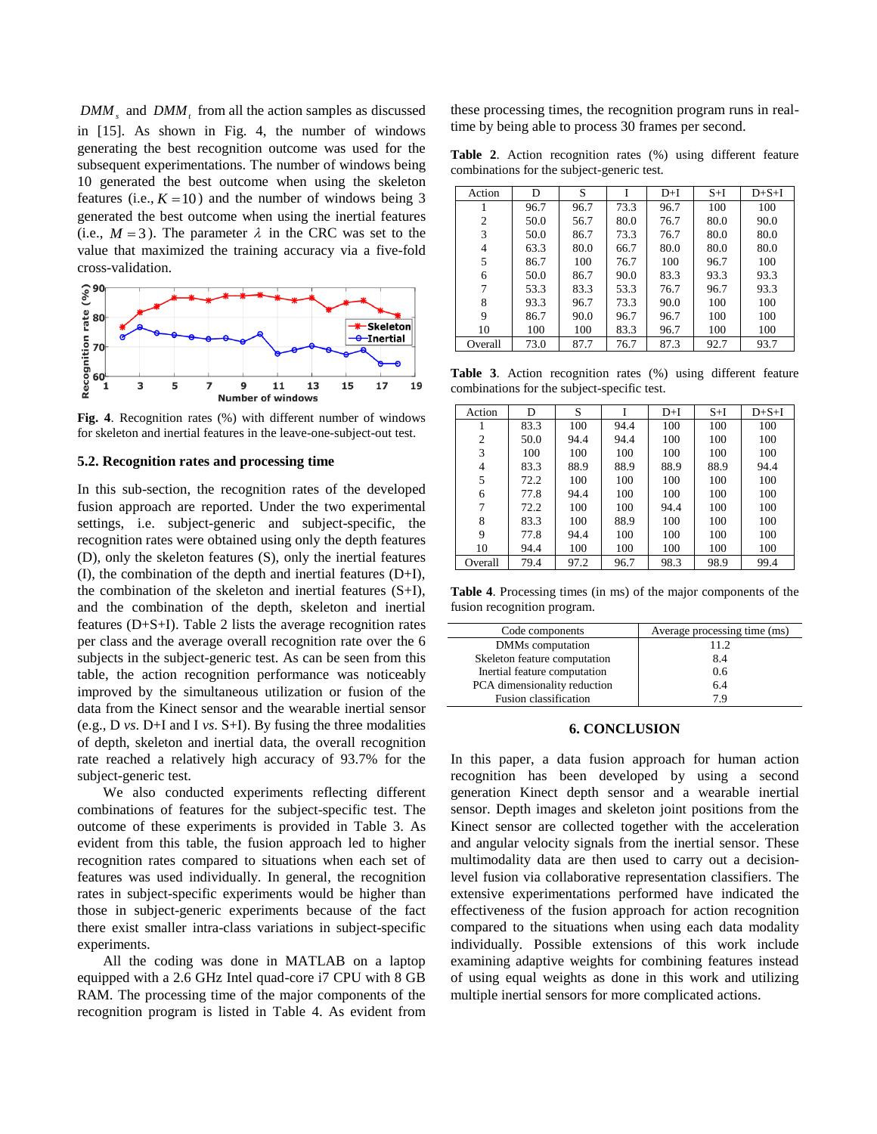$DMM<sub>s</sub>$  and  $DMM<sub>t</sub>$  from all the action samples as discussed in [15]. As shown in Fig. 4, the number of windows generating the best recognition outcome was used for the subsequent experimentations. The number of windows being 10 generated the best outcome when using the skeleton features (i.e.,  $K = 10$ ) and the number of windows being 3 generated the best outcome when using the inertial features (i.e.,  $M = 3$ ). The parameter  $\lambda$  in the CRC was set to the value that maximized the training accuracy via a five-fold cross-validation.



**Fig. 4**. Recognition rates (%) with different number of windows for skeleton and inertial features in the leave-one-subject-out test.

# **5.2. Recognition rates and processing time**

In this sub-section, the recognition rates of the developed fusion approach are reported. Under the two experimental settings, i.e. subject-generic and subject-specific, the recognition rates were obtained using only the depth features (D), only the skeleton features (S), only the inertial features (I), the combination of the depth and inertial features (D+I), the combination of the skeleton and inertial features (S+I), and the combination of the depth, skeleton and inertial features (D+S+I). Table 2 lists the average recognition rates per class and the average overall recognition rate over the 6 subjects in the subject-generic test. As can be seen from this table, the action recognition performance was noticeably improved by the simultaneous utilization or fusion of the data from the Kinect sensor and the wearable inertial sensor (e.g., D *vs*. D+I and I *vs*. S+I). By fusing the three modalities of depth, skeleton and inertial data, the overall recognition rate reached a relatively high accuracy of 93.7% for the subject-generic test.

We also conducted experiments reflecting different combinations of features for the subject-specific test. The outcome of these experiments is provided in Table 3. As evident from this table, the fusion approach led to higher recognition rates compared to situations when each set of features was used individually. In general, the recognition rates in subject-specific experiments would be higher than those in subject-generic experiments because of the fact there exist smaller intra-class variations in subject-specific experiments.

All the coding was done in MATLAB on a laptop equipped with a 2.6 GHz Intel quad-core i7 CPU with 8 GB RAM. The processing time of the major components of the recognition program is listed in Table 4. As evident from these processing times, the recognition program runs in realtime by being able to process 30 frames per second.

**Table 2**. Action recognition rates (%) using different feature combinations for the subject-generic test.

| Action         | D    | S    |      | $D+I$ | $S+I$ | $D + S + I$ |
|----------------|------|------|------|-------|-------|-------------|
|                | 96.7 | 96.7 | 73.3 | 96.7  | 100   | 100         |
| $\overline{2}$ | 50.0 | 56.7 | 80.0 | 76.7  | 80.0  | 90.0        |
| 3              | 50.0 | 86.7 | 73.3 | 76.7  | 80.0  | 80.0        |
| 4              | 63.3 | 80.0 | 66.7 | 80.0  | 80.0  | 80.0        |
| 5              | 86.7 | 100  | 76.7 | 100   | 96.7  | 100         |
| 6              | 50.0 | 86.7 | 90.0 | 83.3  | 93.3  | 93.3        |
| 7              | 53.3 | 83.3 | 53.3 | 76.7  | 96.7  | 93.3        |
| 8              | 93.3 | 96.7 | 73.3 | 90.0  | 100   | 100         |
| 9              | 86.7 | 90.0 | 96.7 | 96.7  | 100   | 100         |
| 10             | 100  | 100  | 83.3 | 96.7  | 100   | 100         |
| Overall        | 73.0 | 87.7 | 76.7 | 87.3  | 92.7  | 93.7        |

**Table 3**. Action recognition rates (%) using different feature combinations for the subject-specific test.

| Action         | D    | S    |      | $D+I$ | $S+I$ | $D + S + I$ |
|----------------|------|------|------|-------|-------|-------------|
|                | 83.3 | 100  | 94.4 | 100   | 100   | 100         |
| $\overline{2}$ | 50.0 | 94.4 | 94.4 | 100   | 100   | 100         |
| 3              | 100  | 100  | 100  | 100   | 100   | 100         |
| 4              | 83.3 | 88.9 | 88.9 | 88.9  | 88.9  | 94.4        |
| 5              | 72.2 | 100  | 100  | 100   | 100   | 100         |
| 6              | 77.8 | 94.4 | 100  | 100   | 100   | 100         |
| 7              | 72.2 | 100  | 100  | 94.4  | 100   | 100         |
| 8              | 83.3 | 100  | 88.9 | 100   | 100   | 100         |
| 9              | 77.8 | 94.4 | 100  | 100   | 100   | 100         |
| 10             | 94.4 | 100  | 100  | 100   | 100   | 100         |
| Overall        | 79.4 | 97.2 | 96.7 | 98.3  | 98.9  | 99.4        |

**Table 4**. Processing times (in ms) of the major components of the fusion recognition program.

| Code components              | Average processing time (ms) |
|------------------------------|------------------------------|
| DMMs computation             | 11.2                         |
| Skeleton feature computation | 8.4                          |
| Inertial feature computation | 0.6                          |
| PCA dimensionality reduction | 64                           |
| Fusion classification        | 7 Q                          |

#### **6. CONCLUSION**

In this paper, a data fusion approach for human action recognition has been developed by using a second generation Kinect depth sensor and a wearable inertial sensor. Depth images and skeleton joint positions from the Kinect sensor are collected together with the acceleration and angular velocity signals from the inertial sensor. These multimodality data are then used to carry out a decisionlevel fusion via collaborative representation classifiers. The extensive experimentations performed have indicated the effectiveness of the fusion approach for action recognition compared to the situations when using each data modality individually. Possible extensions of this work include examining adaptive weights for combining features instead of using equal weights as done in this work and utilizing multiple inertial sensors for more complicated actions.